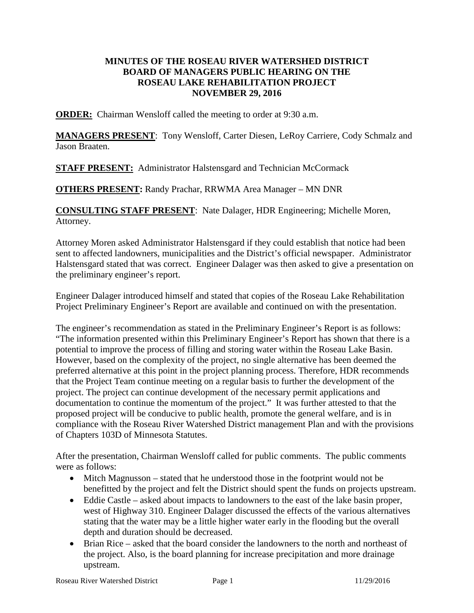## **MINUTES OF THE ROSEAU RIVER WATERSHED DISTRICT BOARD OF MANAGERS PUBLIC HEARING ON THE ROSEAU LAKE REHABILITATION PROJECT NOVEMBER 29, 2016**

**ORDER:** Chairman Wensloff called the meeting to order at 9:30 a.m.

**MANAGERS PRESENT**: Tony Wensloff, Carter Diesen, LeRoy Carriere, Cody Schmalz and Jason Braaten.

**STAFF PRESENT:** Administrator Halstensgard and Technician McCormack

**OTHERS PRESENT:** Randy Prachar, RRWMA Area Manager – MN DNR

**CONSULTING STAFF PRESENT**: Nate Dalager, HDR Engineering; Michelle Moren, Attorney.

Attorney Moren asked Administrator Halstensgard if they could establish that notice had been sent to affected landowners, municipalities and the District's official newspaper. Administrator Halstensgard stated that was correct. Engineer Dalager was then asked to give a presentation on the preliminary engineer's report.

Engineer Dalager introduced himself and stated that copies of the Roseau Lake Rehabilitation Project Preliminary Engineer's Report are available and continued on with the presentation.

The engineer's recommendation as stated in the Preliminary Engineer's Report is as follows: "The information presented within this Preliminary Engineer's Report has shown that there is a potential to improve the process of filling and storing water within the Roseau Lake Basin. However, based on the complexity of the project, no single alternative has been deemed the preferred alternative at this point in the project planning process. Therefore, HDR recommends that the Project Team continue meeting on a regular basis to further the development of the project. The project can continue development of the necessary permit applications and documentation to continue the momentum of the project." It was further attested to that the proposed project will be conducive to public health, promote the general welfare, and is in compliance with the Roseau River Watershed District management Plan and with the provisions of Chapters 103D of Minnesota Statutes.

After the presentation, Chairman Wensloff called for public comments. The public comments were as follows:

- Mitch Magnusson stated that he understood those in the footprint would not be benefitted by the project and felt the District should spent the funds on projects upstream.
- Eddie Castle asked about impacts to landowners to the east of the lake basin proper, west of Highway 310. Engineer Dalager discussed the effects of the various alternatives stating that the water may be a little higher water early in the flooding but the overall depth and duration should be decreased.
- Brian Rice asked that the board consider the landowners to the north and northeast of the project. Also, is the board planning for increase precipitation and more drainage upstream.